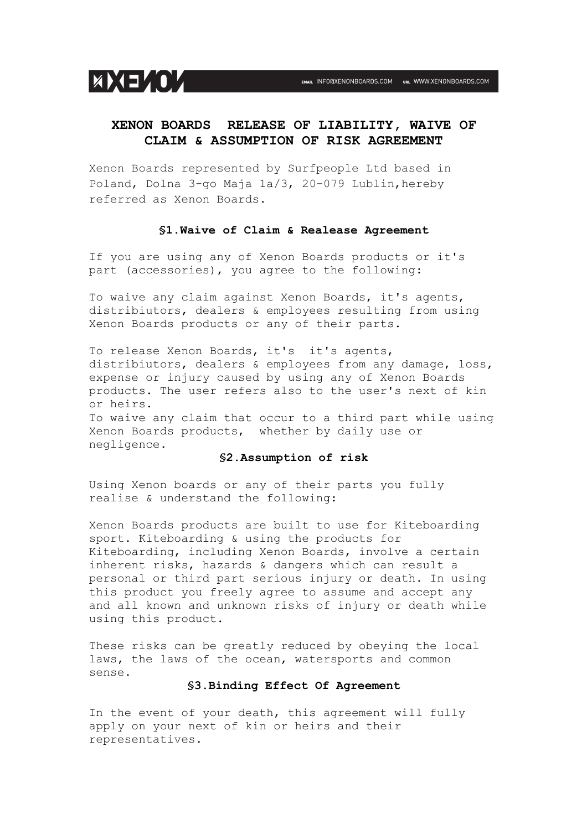

# **XENON BOARDS RELEASE OF LIABILITY, WAIVE OF CLAIM & ASSUMPTION OF RISK AGREEMENT**

Xenon Boards represented by Surfpeople Ltd based in Poland, Dolna 3-go Maja 1a/3, 20-079 Lublin, hereby referred as Xenon Boards.

#### **§1.Waive of Claim & Realease Agreement**

If you are using any of Xenon Boards products or it's part (accessories), you agree to the following:

To waive any claim against Xenon Boards, it's agents, distribiutors, dealers & employees resulting from using Xenon Boards products or any of their parts.

To release Xenon Boards, it's it's agents, distribiutors, dealers & employees from any damage, loss, expense or injury caused by using any of Xenon Boards products. The user refers also to the user's next of kin or heirs.

To waive any claim that occur to a third part while using Xenon Boards products, whether by daily use or negligence.

## **§2.Assumption of risk**

Using Xenon boards or any of their parts you fully realise & understand the following:

Xenon Boards products are built to use for Kiteboarding sport. Kiteboarding & using the products for Kiteboarding, including Xenon Boards, involve a certain inherent risks, hazards & dangers which can result a personal or third part serious injury or death. In using this product you freely agree to assume and accept any and all known and unknown risks of injury or death while using this product.

These risks can be greatly reduced by obeying the local laws, the laws of the ocean, watersports and common sense.

#### **§3.Binding Effect Of Agreement**

In the event of your death, this agreement will fully apply on your next of kin or heirs and their representatives.